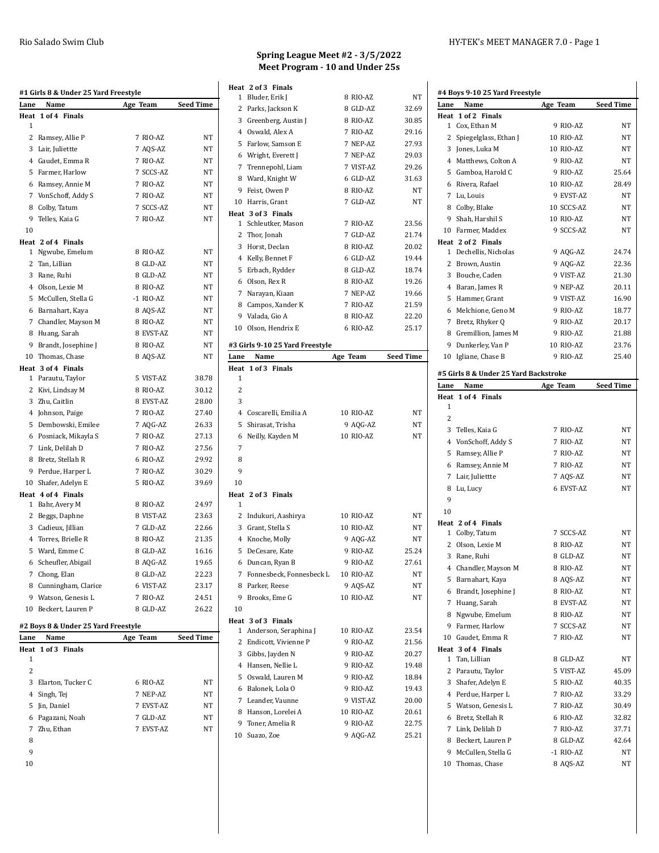|              | #1 Girls 8 & Under 25 Yard Freestyle |             |                  |
|--------------|--------------------------------------|-------------|------------------|
| Lane         | Name                                 | Age Team    | <b>Seed Time</b> |
|              | Heat 1 of 4 Finals                   |             |                  |
| 1            |                                      |             |                  |
|              | 2 Ramsey, Allie P                    | 7 RIO-AZ    | NT               |
|              | 3 Lair, Juliettte                    | 7 AQS-AZ    | NT               |
|              | 4 Gaudet, Emma R                     | 7 RIO-AZ    | NΤ               |
| 5            | Farmer, Harlow                       | 7 SCCS-AZ   | NT               |
|              | 6 Ramsey, Annie M                    | 7 RIO-AZ    | NΤ               |
| $7^{\circ}$  | VonSchoff, Addy S                    | 7 RIO-AZ    | NT               |
|              | 8 Colby, Tatum                       | 7 SCCS-AZ   | NΤ               |
| 9            | Telles, Kaia G                       | 7 RIO-AZ    | NT               |
| 10           |                                      |             |                  |
|              | Heat 2 of 4 Finals                   |             |                  |
| 1            | Ngwube, Emelum                       | 8 RIO-AZ    | NT               |
| $\mathbf{2}$ | Tan, Lillian                         | 8 GLD-AZ    | NΤ               |
|              | 3 Rane, Ruhi                         | 8 GLD-AZ    | NT               |
|              | 4 Olson, Lexie M                     | 8 RIO-AZ    | NT               |
| 5            | McCullen, Stella G                   | $-1$ RIO-AZ | NT               |
|              | 6 Barnahart, Kaya                    | 8 AQS-AZ    | NT               |
| $7^{\circ}$  | Chandler, Mayson M                   | 8 RIO-AZ    | NT               |
|              | 8 Huang, Sarah                       | 8 EVST-AZ   | NT               |
|              | 9 Brandt, Josephine J                | 8 RIO-AZ    | NT               |
|              | 10 Thomas, Chase                     | 8 AQS-AZ    | NT               |
|              | Heat 3 of 4 Finals                   |             |                  |
| 1            | Parautu, Taylor                      | 5 VIST-AZ   | 38.78            |
|              | 2 Kivi, Lindsay M                    | 8 RIO-AZ    | 30.12            |
| 3            | Zhu, Caitlin                         | 8 EVST-AZ   | 28.00            |
|              | 4 Johnson, Paige                     | 7 RIO-AZ    | 27.40            |
| 5            | Dembowski, Emilee                    | 7 AQG-AZ    | 26.33            |
|              | 6 Posniack, Mikayla S                | 7 RIO-AZ    | 27.13            |
|              | 7 Link, Delilah D                    | 7 RIO-AZ    | 27.56            |
|              | 8 Bretz, Stellah R                   | 6 RIO-AZ    | 29.92            |
|              | 9 Perdue, Harper L                   | 7 RIO-AZ    | 30.29            |
|              | 10 Shafer, Adelyn E                  | 5 RIO-AZ    | 39.69            |
|              | Heat 4 of 4 Finals                   |             |                  |
| 1            | Bahr, Avery M                        | 8 RIO-AZ    | 24.97            |
| 2            | Beggs, Daphne                        | 8 VIST-AZ   | 23.63            |
|              | 3 Cadieux, Jillian                   | 7 GLD-AZ    | 22.66            |
| 4            | Torres, Brielle R                    | 8 RIO-AZ    | 21.35            |
| 5            | Ward, Emme C                         | 8 GLD-AZ    | 16.16            |
| 6            | Scheufler, Abigail                   | 8 AQG-AZ    | 19.65            |
| 7            | Chong, Elan                          | 8 GLD-AZ    | 22.23            |
|              | 8 Cunningham, Clarice                | 6 VIST-AZ   | 23.17            |
|              | 9 Watson, Genesis L                  | 7 RIO-AZ    | 24.51            |
|              | 10 Beckert, Lauren P                 | 8 GLD-AZ    | 26.22            |
|              |                                      |             |                  |

#### **#2 Boys 8 & Under 25 Yard Freestyle**

| Lane | Name                | Age Team  | <b>Seed Time</b> |
|------|---------------------|-----------|------------------|
|      | Heat 1 of 3 Finals  |           |                  |
| 1    |                     |           |                  |
| 2    |                     |           |                  |
|      | 3 Elarton, Tucker C | 6 RIO-AZ  | NΤ               |
|      | 4 Singh, Tej        | 7 NEP-AZ  | <b>NT</b>        |
|      | 5 Jin, Daniel       | 7 EVST-AZ | <b>NT</b>        |
|      | 6 Pagazani, Noah    | 7 GLD-AZ  | NT               |
|      | 7 Zhu, Ethan        | 7 EVST-AZ | NT               |
| 8    |                     |           |                  |
| 9    |                     |           |                  |

- 
- 

### **Spring League Meet #2 - 3/5/2022 Meet Program - 10 and Under 25s**

**Heat 2 of 3 Finals**

#### Rio Salado Swim Club HY-TEK's MEET MANAGER 7.0 - Page 1

# **#4 Boys 9-10 25 Yard Freestyle**

|              |                              |           |                  |      | #4 Boys 9-10 25 Yard Freestyle        |            |                  |
|--------------|------------------------------|-----------|------------------|------|---------------------------------------|------------|------------------|
|              | 1 Bluder, Erik J             | 8 RIO-AZ  | NΤ               | Lane | Name                                  | Age Team   | <b>Seed Time</b> |
|              | 2 Parks, Jackson K           | 8 GLD-AZ  | 32.69            |      | Heat 1 of 2 Finals                    |            |                  |
|              | 3 Greenberg, Austin J        | 8 RIO-AZ  | 30.85            |      | 1 Cox, Ethan M                        | 9 RIO-AZ   | NΤ               |
|              | 4 Oswald, Alex A             | 7 RIO-AZ  | 29.16            |      | 2 Spiegelglass, Ethan J               | 10 RIO-AZ  | NΤ               |
|              | 5 Farlow, Samson E           | 7 NEP-AZ  | 27.93            |      | 3 Jones, Luka M                       | 10 RIO-AZ  | NΤ               |
|              | 6 Wright, Everett J          | 7 NEP-AZ  | 29.03            |      | 4 Matthews, Colton A                  | 9 RIO-AZ   | NΤ               |
|              | 7 Trennepohl, Liam           | 7 VIST-AZ | 29.26            |      | 5 Gamboa, Harold C                    | 9 RIO-AZ   | 25.64            |
|              | 8 Ward, Knight W             | 6 GLD-AZ  | 31.63            |      | 6 Rivera, Rafael                      | 10 RIO-AZ  | 28.49            |
|              | 9 Feist, Owen P              | 8 RIO-AZ  | NT               |      | 7 Lu, Louis                           | 9 EVST-AZ  | NΤ               |
|              | 10 Harris, Grant             | 7 GLD-AZ  | NT               |      | 8 Colby, Blake                        | 10 SCCS-AZ | NΤ               |
|              | eat 3 of 3 Finals            |           |                  |      | 9 Shah, Harshil S                     | 10 RIO-AZ  | NΤ               |
|              | 1 Schleutker, Mason          | 7 RIO-AZ  | 23.56            |      | 10 Farmer, Maddex                     | 9 SCCS-AZ  | NT               |
|              | 2 Thor, Jonah                | 7 GLD-AZ  | 21.74            |      | Heat 2 of 2 Finals                    |            |                  |
|              | 3 Horst, Declan              | 8 RIO-AZ  | 20.02            |      | 1 Dechellis, Nicholas                 | 9 AQG-AZ   | 24.74            |
|              | 4 Kelly, Bennet F            | 6 GLD-AZ  | 19.44            |      | 2 Brown, Austin                       | 9 AQG-AZ   | 22.36            |
|              | 5 Erbach, Rydder             | 8 GLD-AZ  | 18.74            |      | 3 Bouche, Caden                       | 9 VIST-AZ  | 21.30            |
|              | 6 Olson, Rex R               | 8 RIO-AZ  | 19.26            |      |                                       |            |                  |
|              | 7 Narayan, Kiaan             | 7 NEP-AZ  | 19.66            |      | 4 Baran, James R                      | 9 NEP-AZ   | 20.11            |
|              | 8 Campos, Xander K           | 7 RIO-AZ  | 21.59            |      | 5 Hammer, Grant                       | 9 VIST-AZ  | 16.90            |
|              | 9 Valada, Gio A              | 8 RIO-AZ  | 22.20            |      | 6 Melchione, Geno M                   | 9 RIO-AZ   | 18.77            |
|              | 10 Olson, Hendrix E          | 6 RIO-AZ  | 25.17            |      | 7 Bretz, Rhyker Q                     | 9 RIO-AZ   | 20.17            |
|              |                              |           |                  |      | 8 Gremillion, James M                 | 9 RIO-AZ   | 21.88            |
|              | Girls 9-10 25 Yard Freestyle |           |                  |      | 9 Dunkerley, Van P                    | 10 RIO-AZ  | 23.76            |
| ne           | Name                         | Age Team  | <b>Seed Time</b> |      | 10 Igliane, Chase B                   | 9 RIO-AZ   | 25.40            |
|              | eat 1 of 3 Finals            |           |                  |      | #5 Girls 8 & Under 25 Yard Backstroke |            |                  |
| 1            |                              |           |                  | Lane | Name                                  | Age Team   | Seed Time        |
| 2            |                              |           |                  |      | Heat 1 of 4 Finals                    |            |                  |
| 3            |                              |           |                  | 1    |                                       |            |                  |
|              | 4 Coscarelli, Emilia A       | 10 RIO-AZ | NΤ               | 2    |                                       |            |                  |
|              | 5 Shirasat, Trisha           | 9 AQG-AZ  | NΤ               |      | 3 Telles, Kaia G                      | 7 RIO-AZ   | NΤ               |
|              | 6 Neilly, Kayden M           | 10 RIO-AZ | NT               |      | 4 VonSchoff, Addy S                   | 7 RIO-AZ   | NΤ               |
| 7            |                              |           |                  |      | 5 Ramsey, Allie P                     | 7 RIO-AZ   | NΤ               |
| 8            |                              |           |                  |      | 6 Ramsey, Annie M                     | 7 RIO-AZ   | NΤ               |
| 9            |                              |           |                  |      | 7 Lair, Juliettte                     | 7 AQS-AZ   | NΤ               |
| 10           |                              |           |                  |      | 8 Lu, Lucy                            | 6 EVST-AZ  | NΤ               |
|              | eat 2 of 3 Finals            |           |                  | 9    |                                       |            |                  |
| $\mathbf{1}$ |                              |           |                  | 10   |                                       |            |                  |
|              | 2 Indukuri, Aashirya         | 10 RIO-AZ | NΤ               |      |                                       |            |                  |
|              | 3 Grant, Stella S            | 10 RIO-AZ | NT               |      | Heat 2 of 4 Finals<br>1 Colby, Tatum  | 7 SCCS-AZ  | NT               |
|              | 4 Knoche, Molly              | 9 AQG-AZ  | NT               |      | 2 Olson, Lexie M                      | 8 RIO-AZ   | NΤ               |
|              | 5 DeCesare, Kate             | 9 RIO-AZ  | 25.24            |      |                                       | 8 GLD-AZ   |                  |
|              | 6 Duncan, Ryan B             | 9 RIO-AZ  | 27.61            |      | 3 Rane, Ruhi                          |            | NΤ               |
|              | 7 Fonnesbeck, Fonnesbeck L   | 10 RIO-AZ | NT               |      | 4 Chandler, Mayson M                  | 8 RIO-AZ   | NΤ               |
|              | 8 Parker, Reese              | 9 AQS-AZ  | NΤ               |      | 5 Barnahart, Kaya                     | 8 AQS-AZ   | NΤ               |
|              | 9 Brooks, Eme G              | 10 RIO-AZ | NΤ               |      | 6 Brandt, Josephine J                 | 8 RIO-AZ   | NΤ               |
| 10           |                              |           |                  |      | 7 Huang, Sarah                        | 8 EVST-AZ  | NΤ               |
|              | eat 3 of 3 Finals            |           |                  |      | 8 Ngwube, Emelum                      | 8 RIO-AZ   | NΤ               |
|              | 1 Anderson, Seraphina J      | 10 RIO-AZ | 23.54            |      | 9 Farmer, Harlow                      | 7 SCCS-AZ  | NT               |
|              | 2 Endicott, Vivienne P       | 9 RIO-AZ  | 21.56            |      | 10 Gaudet, Emma R                     | 7 RIO-AZ   | NΤ               |
|              | 3 Gibbs, Jayden N            | 9 RIO-AZ  | 20.27            |      | Heat 3 of 4 Finals                    |            |                  |
|              | 4 Hansen, Nellie L           | 9 RIO-AZ  | 19.48            |      | 1 Tan, Lillian                        | 8 GLD-AZ   | NΤ               |
|              | 5 Oswald, Lauren M           | 9 RIO-AZ  | 18.84            |      | 2 Parautu, Taylor                     | 5 VIST-AZ  | 45.09            |
|              | 6 Balonek, Lola O            |           |                  |      | 3 Shafer, Adelyn E                    | 5 RIO-AZ   | 40.35            |
|              |                              | 9 RIO-AZ  | 19.43            |      | 4 Perdue, Harper L                    | 7 RIO-AZ   | 33.29            |
|              | 7 Leander, Vaunne            | 9 VIST-AZ | 20.00            |      | 5 Watson, Genesis L                   | 7 RIO-AZ   | 30.49            |
|              | 8 Hanson, Lorelei A          | 10 RIO-AZ | 20.61            |      | 6 Bretz, Stellah R                    | 6 RIO-AZ   | 32.82            |
|              | 9 Toner, Amelia R            | 9 RIO-AZ  | 22.75            |      | 7 Link, Delilah D                     | 7 RIO-AZ   | 37.71            |
|              | 10 Suazo, Zoe                | 9 AQG-AZ  | 25.21            |      | 8 Beckert, Lauren P                   | 8 GLD-AZ   | 42.64            |
|              |                              |           |                  |      | 9 McCullen, Stella G                  | -1 RIO-AZ  | NT               |
|              |                              |           |                  |      | 10 Thomas, Chase                      | 8 AQS-AZ   | NT               |
|              |                              |           |                  |      |                                       |            |                  |

|                | 10 Harris, Grant                | 7 GLD-AZ  | NT               |
|----------------|---------------------------------|-----------|------------------|
|                | Heat 3 of 3 Finals              |           |                  |
| 1              | Schleutker, Mason               | 7 RIO-AZ  | 23.56            |
| 2              | Thor, Jonah                     | 7 GLD-AZ  | 21.74            |
|                | 3 Horst, Declan                 | 8 RIO-AZ  | 20.02            |
|                | 4 Kelly, Bennet F               | 6 GLD-AZ  | 19.44            |
|                | 5 Erbach, Rydder                | 8 GLD-AZ  | 18.74            |
|                | 6 Olson, Rex R                  | 8 RIO-AZ  | 19.26            |
| $\overline{7}$ | Narayan, Kiaan                  | 7 NEP-AZ  | 19.66            |
|                | 8 Campos, Xander K              | 7 RIO-AZ  | 21.59            |
|                | 9 Valada, Gio A                 | 8 RIO-AZ  | 22.20            |
|                | 10 Olson, Hendrix E             | 6 RIO-AZ  | 25.17            |
|                | #3 Girls 9-10 25 Yard Freestyle |           |                  |
| Lane           | Name                            | Age Team  | <b>Seed Time</b> |
| Heat           | 1 of 3 Finals                   |           |                  |
| $\mathbf{1}$   |                                 |           |                  |
| 2              |                                 |           |                  |
| 3              |                                 |           |                  |
|                | 4 Coscarelli, Emilia A          | 10 RIO-AZ | NT               |
| 5              | Shirasat, Trisha                | 9 AQG-AZ  | NΤ               |
| 6              | Neilly, Kayden M                | 10 RIO-AZ | NT               |
| 7              |                                 |           |                  |
| 8              |                                 |           |                  |
| 9              |                                 |           |                  |
| 10             |                                 |           |                  |
|                | Heat 2 of 3 Finals              |           |                  |
| 1              |                                 |           |                  |
|                | 2 Indukuri, Aashirya            | 10 RIO-AZ | NT               |
|                | 3 Grant, Stella S               | 10 RIO-AZ | NT               |
|                | 4 Knoche, Molly                 | 9 AQG-AZ  | <b>NT</b>        |
|                | 5 DeCesare, Kate                | 9 RIO-AZ  | 25.24            |
|                | 6 Duncan, Ryan B                | 9 RIO-AZ  | 27.61            |
|                | 7 Fonnesbeck, Fonnesbeck L      | 10 RIO-AZ | NT               |
|                | 8 Parker, Reese                 | 9 AQS-AZ  | NT               |
| 9              | Brooks, Eme G                   | 10 RIO-AZ | NT               |
| 10             |                                 |           |                  |
|                | Heat 3 of 3 Finals              |           |                  |
| 1              | Anderson, Seraphina J           | 10 RIO-AZ | 23.54            |
| 2              | Endicott, Vivienne P            | 9 RIO-AZ  | 21.56            |
|                | 3 Gibbs, Jayden N               | 9 RIO-AZ  | 20.27            |
|                | 4 Hansen, Nellie L              | 9 RIO-AZ  | 19.48            |
| 5              | Oswald, Lauren M                | 9 RIO-AZ  | 18.84            |
|                | 6 Balonek, Lola O               | 9 RIO-AZ  | 19.43            |
| $\overline{7}$ | Leander, Vaunne                 | 9 VIST-AZ | 20.00            |
|                | 8 Hanson, Lorelei A             | 10 RIO-AZ | 20.61            |
| 9              | Toner, Amelia R                 | 9 RIO-AZ  | 22.75            |
| 10             | Suazo, Zoe                      | 9 AQG-AZ  | 25.21            |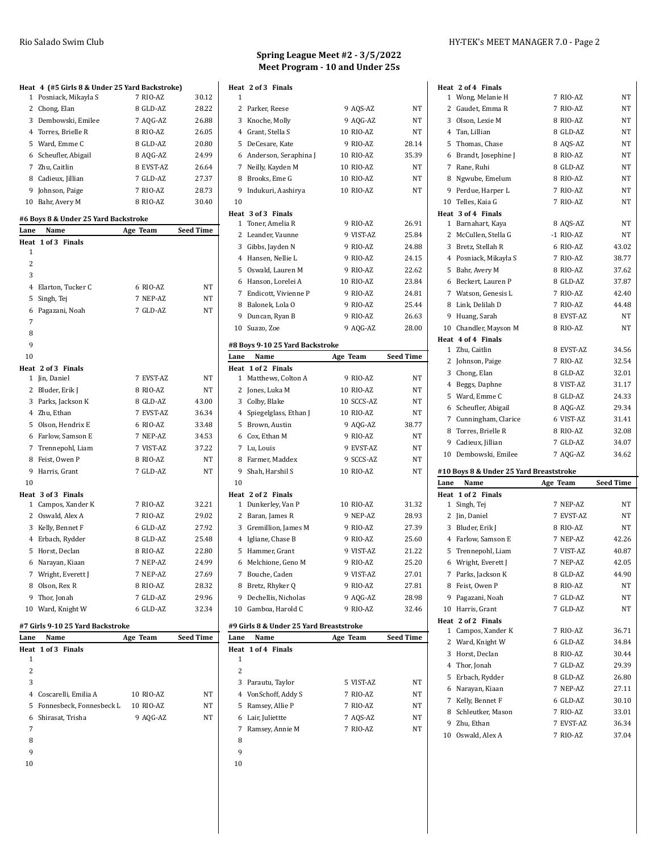| 1            | Heat 4 (#5 Girls 8 & Under 25 Yard Backstroke)<br>Posniack, Mikayla S | 7 RIO-AZ  | 30.12            |
|--------------|-----------------------------------------------------------------------|-----------|------------------|
|              | 2 Chong, Elan                                                         | 8 GLD-AZ  | 28.22            |
|              | 3 Dembowski, Emilee                                                   | 7 AQG-AZ  | 26.88            |
|              | 4 Torres, Brielle R                                                   | 8 RIO-AZ  | 26.05            |
|              | 5 Ward, Emme C                                                        | 8 GLD-AZ  | 20.80            |
|              | 6 Scheufler, Abigail                                                  | 8 AQG-AZ  | 24.99            |
|              | 7 Zhu, Caitlin                                                        | 8 EVST-AZ | 26.64            |
|              | 8 Cadieux, Jillian                                                    | 7 GLD-AZ  | 27.37            |
|              | 9 Johnson, Paige                                                      | 7 RIO-AZ  | 28.73            |
|              | 10 Bahr, Avery M                                                      | 8 RIO-AZ  | 30.40            |
|              |                                                                       |           |                  |
|              | #6 Boys 8 & Under 25 Yard Backstroke                                  |           |                  |
| Lane         | Name                                                                  | Age Team  | <b>Seed Time</b> |
| Heat<br>1    | 1 of 3 Finals                                                         |           |                  |
| 2            |                                                                       |           |                  |
| 3            |                                                                       |           |                  |
|              | 4 Elarton, Tucker C                                                   | 6 RIO-AZ  | NT               |
|              | 5 Singh, Tej                                                          | 7 NEP-AZ  | NT               |
| 6            | Pagazani, Noah                                                        | 7 GLD-AZ  | NT               |
| 7            |                                                                       |           |                  |
| 8            |                                                                       |           |                  |
| 9            |                                                                       |           |                  |
| 10           |                                                                       |           |                  |
|              | Heat 2 of 3 Finals                                                    |           |                  |
| $\mathbf{1}$ | Jin, Daniel                                                           | 7 EVST-AZ | NT               |
|              | 2 Bluder, Erik J                                                      | 8 RIO-AZ  | NΤ               |
|              | 3 Parks, Jackson K                                                    | 8 GLD-AZ  | 43.00            |
|              | 4 Zhu, Ethan                                                          | 7 EVST-AZ | 36.34            |
|              | 5 Olson, Hendrix E                                                    | 6 RIO-AZ  | 33.48            |
|              | 6 Farlow, Samson E                                                    | 7 NEP-AZ  | 34.53            |
|              | 7 Trennepohl, Liam                                                    | 7 VIST-AZ | 37.22            |
|              | 8 Feist, Owen P                                                       | 8 RIO-AZ  | NT               |
|              | 9 Harris, Grant                                                       | 7 GLD-AZ  | NΤ               |
| 10           |                                                                       |           |                  |
|              | Heat 3 of 3 Finals                                                    |           |                  |
| 1            | Campos, Xander K                                                      | 7 RIO-AZ  | 32.21            |
|              | 2 Oswald, Alex A                                                      | 7 RIO-AZ  | 29.02            |
|              | 3 Kelly, Bennet F                                                     | 6 GLD-AZ  | 27.92            |
|              | 4 Erbach, Rydder                                                      | 8 GLD-AZ  | 25.48            |
|              | 5 Horst, Declan                                                       | 8 RIO-AZ  | 22.80            |
|              | 6 Narayan, Kiaan                                                      | 7 NEP-AZ  | 24.99            |
|              | 7 Wright, Everett J                                                   | 7 NEP-AZ  | 27.69            |
|              | 8 Olson, Rex R                                                        | 8 RIO-AZ  | 28.32            |
|              | 9 Thor, Jonah                                                         | 7 GLD-AZ  | 29.96            |
|              | 10 Ward, Knight W                                                     | 6 GLD-AZ  | 32.34            |
|              | #7 Girls 9-10 25 Yard Backstroke                                      |           |                  |

| Lane | Name                     | Age Team  | <b>Seed Time</b> |
|------|--------------------------|-----------|------------------|
|      | Heat 1 of 3 Finals       |           |                  |
| 1    |                          |           |                  |
| 2    |                          |           |                  |
| 3    |                          |           |                  |
| 4    | Coscarelli, Emilia A     | 10 RIO-AZ | NT               |
| 5    | Fonnesbeck, Fonnesbeck L | 10 RIO-AZ | NT               |
|      | 6 Shirasat, Trisha       | 9 AQG-AZ  | NT               |
| 7    |                          |           |                  |
| 8    |                          |           |                  |
| 9    |                          |           |                  |
| 10   |                          |           |                  |
|      |                          |           |                  |

# **Spring League Meet #2 - 3/5/2022 Meet Program - 10 and Under 25s**

| Heat 2 of 3 Finals                                      |                       |                  |
|---------------------------------------------------------|-----------------------|------------------|
| 1                                                       |                       |                  |
| 2 Parker, Reese                                         | 9 AQS-AZ              | NΤ               |
| 3 Knoche, Molly                                         | 9 AQG-AZ              | NT               |
| 4 Grant, Stella S<br>5 DeCesare, Kate                   | 10 RIO-AZ<br>9 RIO-AZ | NΤ<br>28.14      |
| 6 Anderson, Seraphina J                                 | 10 RIO-AZ             | 35.39            |
| 7 Neilly, Kayden M                                      | 10 RIO-AZ             | NΤ               |
| 8 Brooks, Eme G                                         | 10 RIO-AZ             | NT               |
| 9 Indukuri, Aashirya                                    | 10 RIO-AZ             | NT               |
| 10                                                      |                       |                  |
| Heat 3 of 3 Finals                                      |                       |                  |
| 1 Toner, Amelia R                                       | 9 RIO-AZ              | 26.91            |
| 2 Leander, Vaunne                                       | 9 VIST-AZ             | 25.84            |
| 3 Gibbs, Jayden N                                       | 9 RIO-AZ              | 24.88            |
| 4 Hansen, Nellie L                                      | 9 RIO-AZ              | 24.15            |
| 5 Oswald, Lauren M                                      | 9 RIO-AZ              | 22.62            |
| 6 Hanson, Lorelei A                                     | 10 RIO-AZ             | 23.84            |
| 7 Endicott, Vivienne P                                  | 9 RIO-AZ              | 24.81            |
| 8 Balonek, Lola O                                       | 9 RIO-AZ              | 25.44            |
| 9 Duncan, Ryan B                                        | 9 RIO-AZ              | 26.63            |
| 10 Suazo, Zoe                                           | 9 AQG-AZ              | 28.00            |
| #8 Boys 9-10 25 Yard Backstroke                         |                       |                  |
| Name<br>Lane                                            | Age Team              | <b>Seed Time</b> |
| Heat 1 of 2 Finals                                      |                       |                  |
| 1 Matthews, Colton A                                    | 9 RIO-AZ              | NΤ               |
| 2 Jones, Luka M                                         | 10 RIO-AZ             | NΤ               |
| 3 Colby, Blake                                          | 10 SCCS-AZ            | NΤ               |
| 4 Spiegelglass, Ethan J                                 | 10 RIO-AZ             | NΤ               |
| 5 Brown, Austin                                         | 9 AQG-AZ              | 38.77            |
|                                                         |                       |                  |
| 6 Cox, Ethan M                                          | 9 RIO-AZ              | NΤ               |
| 7 Lu, Louis                                             | 9 EVST-AZ             | NT               |
| 8 Farmer, Maddex                                        | 9 SCCS-AZ             | NΤ               |
| 9 Shah, Harshil S                                       | 10 RIO-AZ             | NT               |
| 10                                                      |                       |                  |
| Heat 2 of 2 Finals                                      |                       |                  |
| 1 Dunkerley, Van P                                      | 10 RIO-AZ             | 31.32            |
| 2 Baran, James R                                        | 9 NEP-AZ              | 28.93            |
| 3 Gremillion, James M                                   | 9 RIO-AZ              | 27.39            |
| 4 Igliane, Chase B                                      | 9 RIO-AZ              | 25.60            |
| 5<br>Hammer, Grant                                      | 9 VIST-AZ             | 21.22            |
| 6 Melchione, Geno M                                     | 9 RIO-AZ              | 25.20            |
| 7<br>Bouche, Caden                                      | 9 VIST-AZ             | 27.01            |
| 8 Bretz, Rhyker Q                                       | 9 RIO-AZ              | 27.81            |
| Dechellis, Nicholas<br>9                                | 9 AQG-AZ              | 28.98            |
| Gamboa, Harold C<br>10                                  | 9 RIO-AZ              | 32.46            |
|                                                         |                       |                  |
| #9 Girls 8 & Under 25 Yard Breaststroke<br>Name<br>Lane | Age Team              | <b>Seed Time</b> |
| 1 of 4 Finals<br>Heat                                   |                       |                  |
| 1                                                       |                       |                  |
| 2                                                       |                       |                  |
| 3<br>Parautu, Taylor                                    | 5 VIST-AZ             | NΤ               |
| 4 VonSchoff, Addy S                                     | 7 RIO-AZ              | NΤ               |
| 5<br>Ramsey, Allie P                                    | 7 RIO-AZ              | NΤ               |
| 6<br>Lair, Juliettte                                    | 7 AQS-AZ              | NΤ               |
| 7<br>Ramsey, Annie M                                    | 7 RIO-AZ              | NΤ               |
| 8                                                       |                       |                  |
| 9                                                       |                       |                  |

|      | Heat 2 of 4 Finals                       |             |                |
|------|------------------------------------------|-------------|----------------|
| 1    | Wong, Melanie H                          | 7 RIO-AZ    | NΤ             |
|      | 2 Gaudet, Emma R                         | 7 RIO-AZ    | NΤ             |
|      | 3 Olson, Lexie M                         | 8 RIO-AZ    | NΤ             |
|      | 4 Tan, Lillian                           | 8 GLD-AZ    | NΤ             |
| 5    | Thomas, Chase                            | 8 AOS-AZ    | NT             |
| 6    | Brandt, Josephine J                      | 8 RIO-AZ    | NΤ             |
| 7    | Rane, Ruhi                               | 8 GLD-AZ    | NΤ             |
| 8    | Ngwube, Emelum                           | 8 RIO-AZ    | NT             |
| 9    | Perdue, Harper L                         | 7 RIO-AZ    | NΤ             |
|      | 10 Telles, Kaia G                        | 7 RIO-AZ    | NT             |
|      | Heat 3 of 4 Finals                       |             |                |
| 1    | Barnahart, Kaya                          | 8 AQS-AZ    | NΤ             |
|      | 2 McCullen, Stella G                     | $-1$ RIO-AZ | NΤ             |
| 3    | Bretz, Stellah R                         | 6 RIO-AZ    | 43.02          |
| 4    | Posniack, Mikayla S                      | 7 RIO-AZ    | 38.77          |
| 5    | Bahr, Avery M                            | 8 RIO-AZ    | 37.62          |
| 6    | Beckert, Lauren P                        | 8 GLD-AZ    | 37.87          |
|      | 7 Watson, Genesis L                      | 7 RIO-AZ    | 42.40          |
| 8    | Link, Delilah D                          | 7 RIO-AZ    | 44.48          |
| 9    | Huang, Sarah                             | 8 EVST-AZ   | NT             |
|      | 10 Chandler, Mayson M                    | 8 RIO-AZ    | NT             |
|      | Heat 4 of 4 Finals                       |             |                |
| 1    | Zhu, Caitlin                             | 8 EVST-AZ   | 34.56          |
| 2    | Johnson, Paige                           | 7 RIO-AZ    | 32.54          |
| 3    | Chong, Elan                              | 8 GLD-AZ    | 32.01          |
|      | 4 Beggs, Daphne                          | 8 VIST-AZ   | 31.17          |
| 5    | Ward, Emme C                             | 8 GLD-AZ    | 24.33          |
| 6    | Scheufler, Abigail                       | 8 AQG-AZ    | 29.34          |
|      |                                          |             |                |
| 7    | Cunningham, Clarice                      | 6 VIST-AZ   | 31.41          |
| 8    | Torres, Brielle R                        | 8 RIO-AZ    | 32.08          |
| 9    |                                          | 7 GLD-AZ    |                |
|      | Cadieux, Jillian<br>10 Dembowski, Emilee | 7 AQG-AZ    | 34.07<br>34.62 |
|      |                                          |             |                |
|      | #10 Boys 8 & Under 25 Yard Breaststroke  |             |                |
| Lane | Name                                     | Age Team    | Seed Time      |
|      | Heat 1 of 2 Finals                       |             |                |
| 1    | Singh, Tej                               | 7 NEP-AZ    | NΤ             |
|      | 2 Jin, Daniel                            | 7 EVST-AZ   | NΤ             |
|      | 3 Bluder, Erik J                         | 8 RIO-AZ    | NΤ             |
|      | 4 Farlow, Samson E                       | 7 NEP-AZ    | 42.26          |
| 5    | Trennepohl, Liam                         | 7 VIST-AZ   | 40.87          |
|      | 6 Wright, Everett J                      | 7 NEP-AZ    | 42.05          |
|      | 7 Parks, Jackson K                       | 8 GLD-AZ    | 44.90          |
|      | 8 Feist, Owen P                          | 8 RIO-AZ    | NT             |
| 9    | Pagazani, Noah                           | 7 GLD-AZ    | NT.            |
|      | 10 Harris, Grant                         | 7 GLD-AZ    | NΤ             |
|      | Heat 2 of 2 Finals                       |             |                |
| 1    | Campos, Xander K                         | 7 RIO-AZ    | 36.71          |
|      | 2 Ward, Knight W                         | 6 GLD-AZ    | 34.84          |
| 3    | Horst, Declan                            | 8 RIO-AZ    | 30.44          |
| 4    | Thor, Jonah                              | 7 GLD-AZ    | 29.39          |
| 5    | Erbach, Rydder                           | 8 GLD-AZ    | 26.80          |
| 6    | Narayan, Kiaan                           | 7 NEP-AZ    | 27.11          |
|      | 7 Kelly, Bennet F                        | 6 GLD-AZ    | 30.10          |
| 8    | Schleutker, Mason                        | 7 RIO-AZ    | 33.01          |
| 9    | Zhu, Ethan                               | 7 EVST-AZ   | 36.34          |
|      | 10 Oswald, Alex A                        | 7 RIO-AZ    | 37.04          |
|      |                                          |             |                |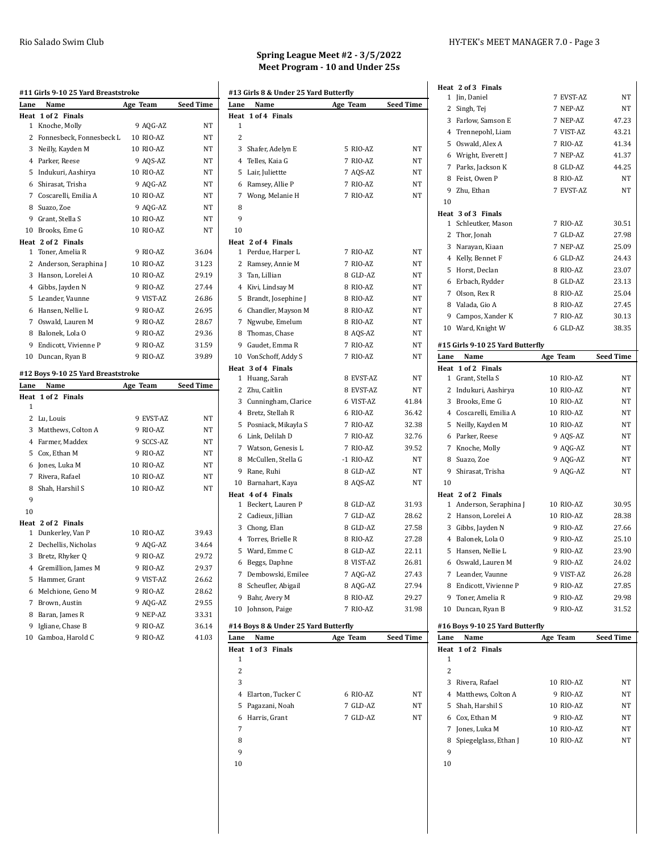| #11 Girls 9-10 25 Yard Breaststroke |                                                 |                      |                  |  |
|-------------------------------------|-------------------------------------------------|----------------------|------------------|--|
| Lane                                | Name                                            | Age Team             | <b>Seed Time</b> |  |
| Heat                                | 1 of 2 Finals                                   |                      |                  |  |
| $\mathbf{1}$                        | Knoche, Molly                                   | 9 AQG-AZ             | NΤ               |  |
|                                     | 2 Fonnesbeck, Fonnesbeck L                      | 10 RIO-AZ            | NT               |  |
|                                     | 3 Neilly, Kayden M                              | 10 RIO-AZ            | NΤ               |  |
|                                     | 4 Parker, Reese                                 | 9 AQS-AZ             | NT               |  |
|                                     | 5 Indukuri, Aashirya                            | 10 RIO-AZ            | NΤ               |  |
|                                     | 6 Shirasat, Trisha                              | 9 AQG-AZ             | NT               |  |
|                                     | 7 Coscarelli, Emilia A                          | 10 RIO-AZ            | NT               |  |
|                                     | 8 Suazo, Zoe                                    | 9 AQG-AZ             | NT               |  |
|                                     | 9 Grant, Stella S                               | 10 RIO-AZ            | NT               |  |
|                                     | 10 Brooks, Eme G                                | 10 RIO-AZ            | NΤ               |  |
|                                     | Heat 2 of 2 Finals                              |                      |                  |  |
|                                     | 1 Toner, Amelia R                               | 9 RIO-AZ             | 36.04            |  |
|                                     | 2 Anderson, Seraphina J                         | 10 RIO-AZ            | 31.23            |  |
|                                     | 3 Hanson, Lorelei A                             | 10 RIO-AZ            | 29.19            |  |
|                                     | 4 Gibbs, Jayden N                               | 9 RIO-AZ             | 27.44            |  |
|                                     | 5 Leander, Vaunne                               | 9 VIST-AZ            | 26.86            |  |
|                                     | 6 Hansen, Nellie L                              | 9 RIO-AZ             | 26.95            |  |
|                                     | 7 Oswald, Lauren M                              | 9 RIO-AZ             | 28.67            |  |
|                                     | 8 Balonek, Lola O                               | 9 RIO-AZ             | 29.36            |  |
|                                     | 9 Endicott, Vivienne P                          | 9 RIO-AZ             | 31.59            |  |
|                                     | 10 Duncan, Ryan B                               | 9 RIO-AZ             | 39.89            |  |
|                                     |                                                 |                      |                  |  |
|                                     |                                                 |                      |                  |  |
|                                     | #12 Boys 9-10 25 Yard Breaststroke<br>Lane Name | Age Team             | <b>Seed Time</b> |  |
|                                     | Heat 1 of 2 Finals                              |                      |                  |  |
| 1                                   |                                                 |                      |                  |  |
|                                     | 2 Lu, Louis                                     | 9 EVST-AZ            | NT               |  |
|                                     | 3 Matthews, Colton A                            | 9 RIO-AZ             | NΤ               |  |
|                                     | 4 Farmer, Maddex                                | 9 SCCS-AZ            | NΤ               |  |
|                                     | 5 Cox, Ethan M                                  | 9 RIO-AZ             | NΤ               |  |
|                                     | 6 Jones, Luka M                                 | 10 RIO-AZ            | NT               |  |
|                                     | 7 Rivera, Rafael                                | 10 RIO-AZ            | NT               |  |
| 8                                   | Shah, Harshil S                                 | 10 RIO-AZ            | NT               |  |
| 9                                   |                                                 |                      |                  |  |
| 10                                  |                                                 |                      |                  |  |
|                                     | Heat 2 of 2 Finals                              |                      |                  |  |
|                                     | 1 Dunkerley, Van P                              | 10 RIO-AZ            | 39.43            |  |
|                                     | 2 Dechellis, Nicholas                           | 9 AQG-AZ             | 34.64            |  |
|                                     | 3 Bretz, Rhyker Q                               | 9 RIO-AZ             | 29.72            |  |
|                                     | 4 Gremillion, James M                           | 9 RIO-AZ             | 29.37            |  |
| 5                                   | Hammer, Grant                                   | 9 VIST-AZ            | 26.62            |  |
| 6                                   | Melchione, Geno M                               | 9 RIO-AZ             | 28.62            |  |
| 7                                   | Brown, Austin                                   | 9 AQG-AZ             | 29.55            |  |
| 8                                   | Baran, James R                                  | 9 NEP-AZ             | 33.31            |  |
| 9<br>10                             | Igliane, Chase B<br>Gamboa, Harold C            | 9 RIO-AZ<br>9 RIO-AZ | 36.14<br>41.03   |  |

# **Spring League Meet #2 - 3/5/2022 Meet Program - 10 and Under 25s**

| 1<br>2<br>7<br>8<br>9<br>10 | Heat 1 of 4 Finals<br>3 Shafer, Adelyn E<br>4 Telles, Kaia G<br>5 Lair, Juliettte<br>6 Ramsey, Allie P<br>Wong, Melanie H<br>Heat 2 of 4 Finals<br>1 Perdue, Harper L<br>2 Ramsey, Annie M<br>3 Tan, Lillian<br>4 Kivi, Lindsay M<br>5 Brandt, Josephine J<br>6 Chandler, Mayson M<br>7 Ngwube, Emelum<br>8 Thomas, Chase<br>9 Gaudet, Emma R<br>10 VonSchoff, Addy S<br>Heat 3 of 4 Finals<br>1 Huang, Sarah<br>2 Zhu, Caitlin<br>3 Cunningham, Clarice<br>4 Bretz, Stellah R | 5 RIO-AZ<br>7 RIO-AZ<br>7 AQS-AZ<br>7 RIO-AZ<br>7 RIO-AZ<br>7 RIO-AZ<br>7 RIO-AZ<br>8 GLD-AZ<br>8 RIO-AZ<br>8 RIO-AZ<br>8 RIO-AZ<br>8 RIO-AZ<br>8 AQS-AZ<br>7 RIO-AZ<br>7 RIO-AZ<br>8 EVST-AZ<br>8 EVST-AZ<br>6 VIST-AZ<br>6 RIO-AZ | NΤ<br>NΤ<br>NT<br>NT<br>NΤ<br>NΤ<br>NΤ<br>NT<br>NT<br>NT<br>NΤ<br>NΤ<br>NΤ<br>NT<br>NΤ<br>NΤ<br>NT<br>41.84 |
|-----------------------------|--------------------------------------------------------------------------------------------------------------------------------------------------------------------------------------------------------------------------------------------------------------------------------------------------------------------------------------------------------------------------------------------------------------------------------------------------------------------------------|-------------------------------------------------------------------------------------------------------------------------------------------------------------------------------------------------------------------------------------|-------------------------------------------------------------------------------------------------------------|
|                             |                                                                                                                                                                                                                                                                                                                                                                                                                                                                                |                                                                                                                                                                                                                                     |                                                                                                             |
|                             |                                                                                                                                                                                                                                                                                                                                                                                                                                                                                |                                                                                                                                                                                                                                     |                                                                                                             |
|                             |                                                                                                                                                                                                                                                                                                                                                                                                                                                                                |                                                                                                                                                                                                                                     |                                                                                                             |
|                             |                                                                                                                                                                                                                                                                                                                                                                                                                                                                                |                                                                                                                                                                                                                                     |                                                                                                             |
|                             |                                                                                                                                                                                                                                                                                                                                                                                                                                                                                |                                                                                                                                                                                                                                     |                                                                                                             |
|                             |                                                                                                                                                                                                                                                                                                                                                                                                                                                                                |                                                                                                                                                                                                                                     |                                                                                                             |
|                             |                                                                                                                                                                                                                                                                                                                                                                                                                                                                                |                                                                                                                                                                                                                                     |                                                                                                             |
|                             |                                                                                                                                                                                                                                                                                                                                                                                                                                                                                |                                                                                                                                                                                                                                     |                                                                                                             |
|                             |                                                                                                                                                                                                                                                                                                                                                                                                                                                                                |                                                                                                                                                                                                                                     |                                                                                                             |
|                             |                                                                                                                                                                                                                                                                                                                                                                                                                                                                                |                                                                                                                                                                                                                                     |                                                                                                             |
|                             |                                                                                                                                                                                                                                                                                                                                                                                                                                                                                |                                                                                                                                                                                                                                     |                                                                                                             |
|                             |                                                                                                                                                                                                                                                                                                                                                                                                                                                                                |                                                                                                                                                                                                                                     |                                                                                                             |
|                             |                                                                                                                                                                                                                                                                                                                                                                                                                                                                                |                                                                                                                                                                                                                                     |                                                                                                             |
|                             |                                                                                                                                                                                                                                                                                                                                                                                                                                                                                |                                                                                                                                                                                                                                     |                                                                                                             |
|                             |                                                                                                                                                                                                                                                                                                                                                                                                                                                                                |                                                                                                                                                                                                                                     |                                                                                                             |
|                             |                                                                                                                                                                                                                                                                                                                                                                                                                                                                                |                                                                                                                                                                                                                                     |                                                                                                             |
|                             |                                                                                                                                                                                                                                                                                                                                                                                                                                                                                |                                                                                                                                                                                                                                     |                                                                                                             |
|                             |                                                                                                                                                                                                                                                                                                                                                                                                                                                                                |                                                                                                                                                                                                                                     |                                                                                                             |
|                             |                                                                                                                                                                                                                                                                                                                                                                                                                                                                                |                                                                                                                                                                                                                                     |                                                                                                             |
|                             |                                                                                                                                                                                                                                                                                                                                                                                                                                                                                |                                                                                                                                                                                                                                     |                                                                                                             |
|                             |                                                                                                                                                                                                                                                                                                                                                                                                                                                                                |                                                                                                                                                                                                                                     |                                                                                                             |
|                             |                                                                                                                                                                                                                                                                                                                                                                                                                                                                                |                                                                                                                                                                                                                                     |                                                                                                             |
|                             |                                                                                                                                                                                                                                                                                                                                                                                                                                                                                |                                                                                                                                                                                                                                     |                                                                                                             |
|                             |                                                                                                                                                                                                                                                                                                                                                                                                                                                                                |                                                                                                                                                                                                                                     |                                                                                                             |
|                             |                                                                                                                                                                                                                                                                                                                                                                                                                                                                                |                                                                                                                                                                                                                                     |                                                                                                             |
|                             |                                                                                                                                                                                                                                                                                                                                                                                                                                                                                |                                                                                                                                                                                                                                     |                                                                                                             |
|                             |                                                                                                                                                                                                                                                                                                                                                                                                                                                                                |                                                                                                                                                                                                                                     | 36.42                                                                                                       |
|                             | 5 Posniack, Mikayla S                                                                                                                                                                                                                                                                                                                                                                                                                                                          | 7 RIO-AZ                                                                                                                                                                                                                            | 32.38                                                                                                       |
|                             | 6 Link, Delilah D                                                                                                                                                                                                                                                                                                                                                                                                                                                              | 7 RIO-AZ                                                                                                                                                                                                                            | 32.76                                                                                                       |
|                             | 7 Watson, Genesis L                                                                                                                                                                                                                                                                                                                                                                                                                                                            | 7 RIO-AZ                                                                                                                                                                                                                            | 39.52                                                                                                       |
|                             | 8 McCullen, Stella G                                                                                                                                                                                                                                                                                                                                                                                                                                                           | $-1$ RIO-AZ                                                                                                                                                                                                                         | NΤ                                                                                                          |
|                             | 9 Rane, Ruhi                                                                                                                                                                                                                                                                                                                                                                                                                                                                   | 8 GLD-AZ                                                                                                                                                                                                                            | NΤ                                                                                                          |
|                             | 10 Barnahart, Kaya                                                                                                                                                                                                                                                                                                                                                                                                                                                             | 8 AQS-AZ                                                                                                                                                                                                                            | NΤ                                                                                                          |
|                             | Heat 4 of 4 Finals                                                                                                                                                                                                                                                                                                                                                                                                                                                             |                                                                                                                                                                                                                                     |                                                                                                             |
|                             | 1 Beckert, Lauren P                                                                                                                                                                                                                                                                                                                                                                                                                                                            | 8 GLD-AZ                                                                                                                                                                                                                            | 31.93                                                                                                       |
|                             | 2 Cadieux, Jillian                                                                                                                                                                                                                                                                                                                                                                                                                                                             | 7 GLD-AZ                                                                                                                                                                                                                            | 28.62                                                                                                       |
|                             | 3 Chong, Elan                                                                                                                                                                                                                                                                                                                                                                                                                                                                  | 8 GLD-AZ                                                                                                                                                                                                                            | 27.58                                                                                                       |
|                             | 4 Torres, Brielle R                                                                                                                                                                                                                                                                                                                                                                                                                                                            | 8 RIO-AZ                                                                                                                                                                                                                            | 27.28                                                                                                       |
|                             | 5 Ward, Emme C                                                                                                                                                                                                                                                                                                                                                                                                                                                                 | 8 GLD-AZ                                                                                                                                                                                                                            | 22.11                                                                                                       |
|                             | 6 Beggs, Daphne                                                                                                                                                                                                                                                                                                                                                                                                                                                                | 8 VIST-AZ                                                                                                                                                                                                                           | 26.81                                                                                                       |
| 7                           | Dembowski, Emilee                                                                                                                                                                                                                                                                                                                                                                                                                                                              | 7 AQG-AZ                                                                                                                                                                                                                            | 27.43                                                                                                       |
|                             | 8 Scheufler, Abigail                                                                                                                                                                                                                                                                                                                                                                                                                                                           | 8 AQG-AZ                                                                                                                                                                                                                            | 27.94                                                                                                       |
|                             | 9 Bahr, Avery M                                                                                                                                                                                                                                                                                                                                                                                                                                                                | 8 RIO-AZ                                                                                                                                                                                                                            | 29.27                                                                                                       |
|                             | 10 Johnson, Paige                                                                                                                                                                                                                                                                                                                                                                                                                                                              | 7 RIO-AZ                                                                                                                                                                                                                            | 31.98                                                                                                       |
|                             | #14 Boys 8 & Under 25 Yard Butterfly                                                                                                                                                                                                                                                                                                                                                                                                                                           |                                                                                                                                                                                                                                     |                                                                                                             |
| Lane                        | Name                                                                                                                                                                                                                                                                                                                                                                                                                                                                           | Age Team                                                                                                                                                                                                                            | <b>Seed Time</b>                                                                                            |
|                             | Heat 1 of 3 Finals                                                                                                                                                                                                                                                                                                                                                                                                                                                             |                                                                                                                                                                                                                                     |                                                                                                             |
| 1                           |                                                                                                                                                                                                                                                                                                                                                                                                                                                                                |                                                                                                                                                                                                                                     |                                                                                                             |
| 2                           |                                                                                                                                                                                                                                                                                                                                                                                                                                                                                |                                                                                                                                                                                                                                     |                                                                                                             |
| 3                           |                                                                                                                                                                                                                                                                                                                                                                                                                                                                                |                                                                                                                                                                                                                                     |                                                                                                             |
|                             | 4 Elarton, Tucker C                                                                                                                                                                                                                                                                                                                                                                                                                                                            | 6 RIO-AZ                                                                                                                                                                                                                            | NT                                                                                                          |
| 5                           | Pagazani, Noah                                                                                                                                                                                                                                                                                                                                                                                                                                                                 | 7 GLD-AZ                                                                                                                                                                                                                            | NΤ                                                                                                          |
| 6                           | Harris, Grant                                                                                                                                                                                                                                                                                                                                                                                                                                                                  | 7 GLD-AZ                                                                                                                                                                                                                            | NΤ                                                                                                          |
| 7                           |                                                                                                                                                                                                                                                                                                                                                                                                                                                                                |                                                                                                                                                                                                                                     |                                                                                                             |
| 8                           |                                                                                                                                                                                                                                                                                                                                                                                                                                                                                |                                                                                                                                                                                                                                     |                                                                                                             |
| 9                           |                                                                                                                                                                                                                                                                                                                                                                                                                                                                                |                                                                                                                                                                                                                                     |                                                                                                             |
| 10                          |                                                                                                                                                                                                                                                                                                                                                                                                                                                                                |                                                                                                                                                                                                                                     |                                                                                                             |

## Rio Salado Swim Club **HY-TEK's MEET MANAGER 7.0** - Page 3

|                | Heat 2 of 3 Finals                 |           |                  |
|----------------|------------------------------------|-----------|------------------|
|                | 1 Jin, Daniel                      | 7 EVST-AZ | NΤ               |
|                | 2 Singh, Tej                       | 7 NEP-AZ  | NΤ               |
|                | 3 Farlow, Samson E                 | 7 NEP-AZ  | 47.23            |
|                | 4 Trennepohl, Liam                 | 7 VIST-AZ | 43.21            |
|                | 5 Oswald, Alex A                   | 7 RIO-AZ  | 41.34            |
|                | 6 Wright, Everett J                | 7 NEP-AZ  | 41.37            |
|                | 7 Parks, Jackson K                 | 8 GLD-AZ  | 44.25            |
|                | 8 Feist, Owen P                    | 8 RIO-AZ  | NT               |
|                | 9 Zhu, Ethan                       | 7 EVST-AZ | NT               |
| 10             |                                    |           |                  |
|                | Heat 3 of 3 Finals                 |           |                  |
| 1              | Schleutker, Mason                  | 7 RIO-AZ  | 30.51            |
|                | 2 Thor, Jonah                      | 7 GLD-AZ  | 27.98            |
|                | 3 Narayan, Kiaan                   | 7 NEP-AZ  | 25.09            |
|                | 4 Kelly, Bennet F                  | 6 GLD-AZ  | 24.43            |
|                | 5 Horst, Declan                    | 8 RIO-AZ  | 23.07            |
|                | 6 Erbach, Rydder                   | 8 GLD-AZ  | 23.13            |
|                | 7 Olson, Rex R                     | 8 RIO-AZ  | 25.04            |
|                | 8 Valada, Gio A                    | 8 RIO-AZ  | 27.45            |
|                | 9 Campos, Xander K                 | 7 RIO-AZ  | 30.13            |
|                | 10 Ward, Knight W                  | 6 GLD-AZ  | 38.35            |
|                | #15 Girls 9-10 25 Yard Butterfly   |           |                  |
| Lane           | Name                               | Age Team  | <b>Seed Time</b> |
|                | Heat 1 of 2 Finals                 |           |                  |
|                | 1 Grant, Stella S                  | 10 RIO-AZ | NT               |
|                | 2 Indukuri, Aashirya               | 10 RIO-AZ | NΤ               |
|                | 3 Brooks, Eme G                    | 10 RIO-AZ | NΤ               |
|                | 4 Coscarelli, Emilia A             | 10 RIO-AZ | NΤ               |
|                | 5 Neilly, Kayden M                 | 10 RIO-AZ | NT               |
|                | 6 Parker, Reese                    | 9 AQS-AZ  | NT               |
|                | 7 Knoche, Molly                    | 9 AQG-AZ  | NT               |
|                |                                    |           |                  |
|                |                                    |           | NΤ               |
|                | 8 Suazo, Zoe<br>9 Shirasat, Trisha | 9 AQG-AZ  | NΤ               |
| 10             |                                    | 9 AQG-AZ  |                  |
|                | Heat 2 of 2 Finals                 |           |                  |
|                | 1 Anderson, Seraphina J            | 10 RIO-AZ | 30.95            |
|                | 2 Hanson, Lorelei A                | 10 RIO-AZ | 28.38            |
|                | 3 Gibbs, Jayden N                  | 9 RIO-AZ  | 27.66            |
|                | 4 Balonek, Lola O                  | 9 RIO-AZ  | 25.10            |
|                | 5 Hansen, Nellie L                 | 9 RIO-AZ  | 23.90            |
|                | 6 Oswald, Lauren M                 | 9 RIO-AZ  | 24.02            |
|                | 7 Leander, Vaunne                  | 9 VIST-AZ | 26.28            |
|                | 8 Endicott, Vivienne P             | 9 RIO-AZ  | 27.85            |
|                | 9 Toner, Amelia R                  | 9 RIO-AZ  | 29.98            |
|                | 10 Duncan, Ryan B                  | 9 RIO-AZ  | 31.52            |
|                |                                    |           |                  |
|                | #16 Boys 9-10 25 Yard Butterfly    |           |                  |
| Lane           | Name                               | Age Team  | <b>Seed Time</b> |
| 1              | Heat 1 of 2 Finals                 |           |                  |
| $\overline{2}$ |                                    |           |                  |
|                | 3 Rivera, Rafael                   | 10 RIO-AZ | NT               |
|                | 4 Matthews, Colton A               | 9 RIO-AZ  | NT               |
|                | 5 Shah, Harshil S                  | 10 RIO-AZ | NT               |
|                | 6 Cox, Ethan M                     | 9 RIO-AZ  | NΤ               |
|                | 7 Jones, Luka M                    | 10 RIO-AZ | NT               |
|                |                                    | 10 RIO-AZ | NΤ               |
| 9              | 8 Spiegelglass, Ethan J            |           |                  |
| 10             |                                    |           |                  |
|                |                                    |           |                  |
|                |                                    |           |                  |